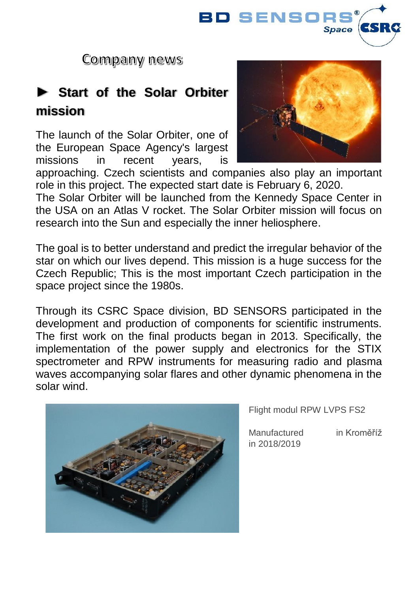

Company news

### **► Start of the Solar Orbiter mission**

The launch of the Solar Orbiter, one of the European Space Agency's largest missions in recent years, is



approaching. Czech scientists and companies also play an important role in this project. The expected start date is February 6, 2020.

The Solar Orbiter will be launched from the Kennedy Space Center in the USA on an Atlas V rocket. The Solar Orbiter mission will focus on research into the Sun and especially the inner heliosphere.

The goal is to better understand and predict the irregular behavior of the star on which our lives depend. This mission is a huge success for the Czech Republic; This is the most important Czech participation in the space project since the 1980s.

Through its CSRC Space division, BD SENSORS participated in the development and production of components for scientific instruments. The first work on the final products began in 2013. Specifically, the implementation of the power supply and electronics for the STIX spectrometer and RPW instruments for measuring radio and plasma waves accompanying solar flares and other dynamic phenomena in the solar wind.



Flight modul RPW LVPS FS2

Manufactured in Kroměříž in 2018/2019